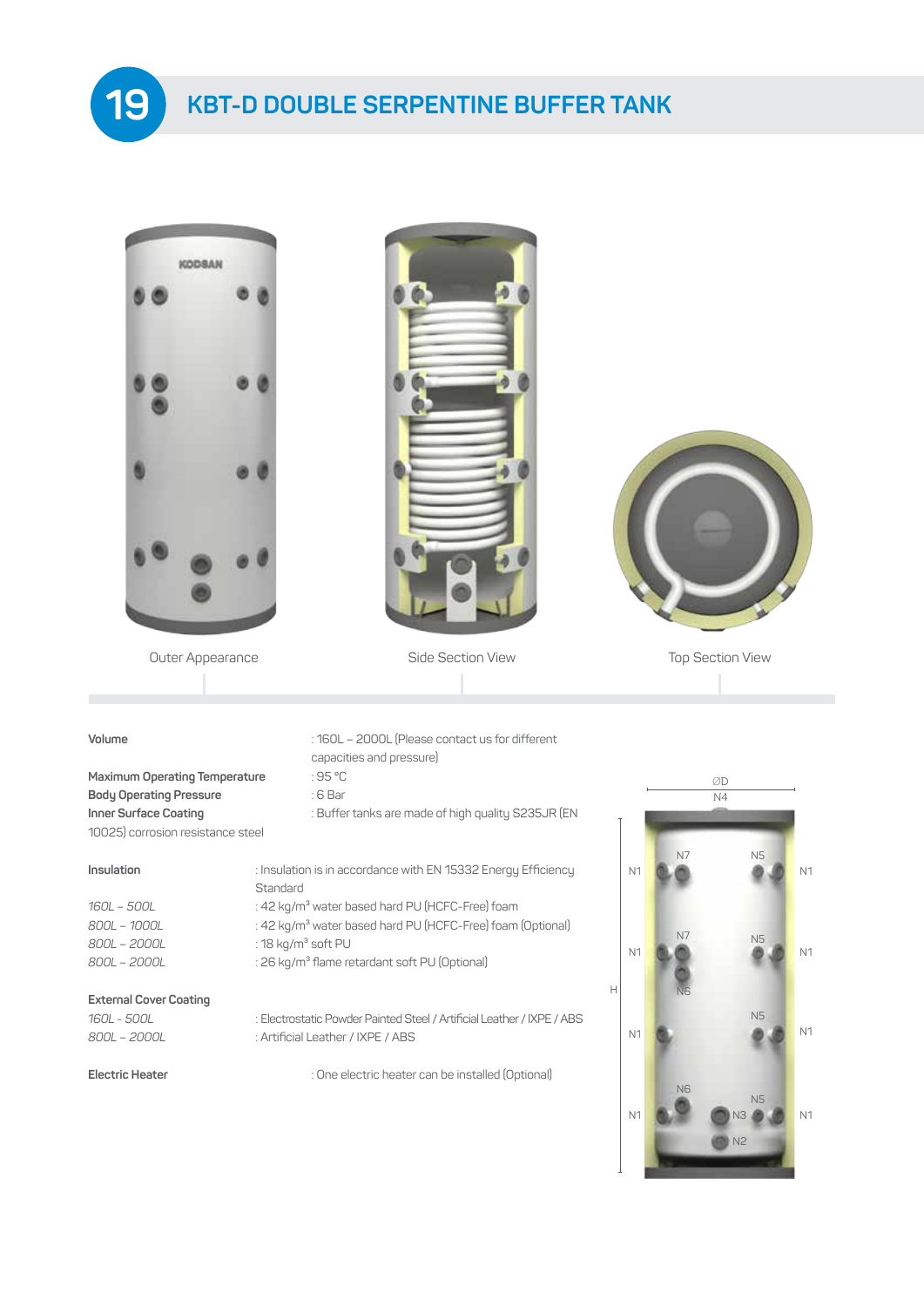**KBT-D DOUBLE SERPENTINE BUFFER TANK**



**19**



Outer Appearance **Side Section View Top Section View** Top Section View



#### **Volume** : 160L – 2000L (Please contact us for different

### **Maximum Operating Temperature** : 95 °C **Body Operating Pressure** : 6 Bar 10025) corrosion resistance steel

#### **Insulation** is in accordance with Energy Eff

*800L – 2000L* : 18 kg/m³ soft PU

#### **External Cover Coating**

- capacities and pressure)
- 
- **Inner Surface Coating <b>Surface** Coating **SECO** is Buffer tanks are made of high quality S235JR (EN

| Insulation | : Insulation is in accordance with EN 15332 Energy Efficiency |
|------------|---------------------------------------------------------------|
|            | Standard                                                      |

- *160L 500L* : 42 kg/m³ water based hard PU (HCFC-Free) foam
- *800L 1000L* : 42 kg/m³ water based hard PU (HCFC-Free) foam (Optional)
	-
- *800L 2000L* : 26 kg/m³ flame retardant soft PU (Optional)

*160L - 500L* : Electrostatic Powder Painted Steel / Artificial Leather / IXPE / ABS *800L – 2000L* : Artificial Leather / IXPE / ABS

**Electric Heater** : One electric heater can be installed (Optional)